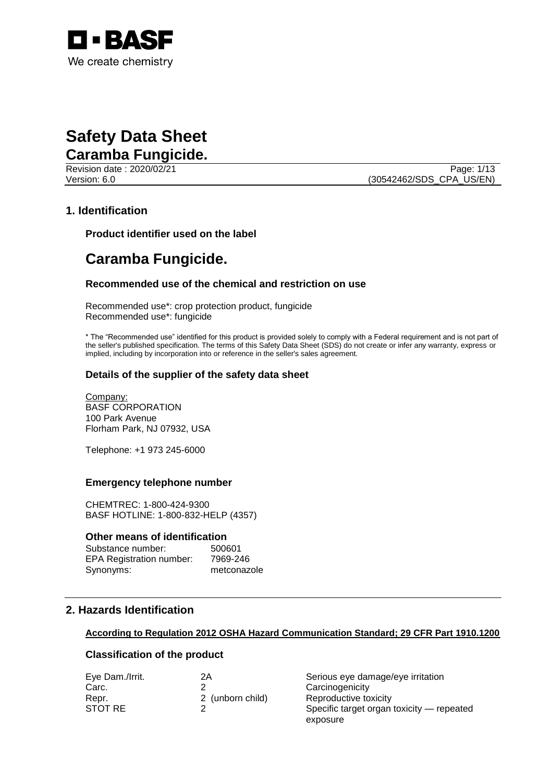

# **Safety Data Sheet Caramba Fungicide.**

Revision date : 2020/02/21 Page: 1/13

Version: 6.0 (30542462/SDS\_CPA\_US/EN)

## **1. Identification**

**Product identifier used on the label**

# **Caramba Fungicide.**

#### **Recommended use of the chemical and restriction on use**

Recommended use\*: crop protection product, fungicide Recommended use\*: fungicide

\* The "Recommended use" identified for this product is provided solely to comply with a Federal requirement and is not part of the seller's published specification. The terms of this Safety Data Sheet (SDS) do not create or infer any warranty, express or implied, including by incorporation into or reference in the seller's sales agreement.

#### **Details of the supplier of the safety data sheet**

Company: BASF CORPORATION 100 Park Avenue Florham Park, NJ 07932, USA

Telephone: +1 973 245-6000

#### **Emergency telephone number**

CHEMTREC: 1-800-424-9300 BASF HOTLINE: 1-800-832-HELP (4357)

#### **Other means of identification**

| Substance number:               | 500601      |
|---------------------------------|-------------|
| <b>EPA Registration number:</b> | 7969-246    |
| Synonyms:                       | metconazole |

# **2. Hazards Identification**

#### **According to Regulation 2012 OSHA Hazard Communication Standard; 29 CFR Part 1910.1200**

#### **Classification of the product**

| Eye Dam./Irrit. | 2Α               | Serious eye damage/eye irritation         |
|-----------------|------------------|-------------------------------------------|
| Carc.           |                  | Carcinogenicity                           |
| Repr.           | 2 (unborn child) | Reproductive toxicity                     |
| STOT RE         |                  | Specific target organ toxicity — repeated |
|                 |                  | exposure                                  |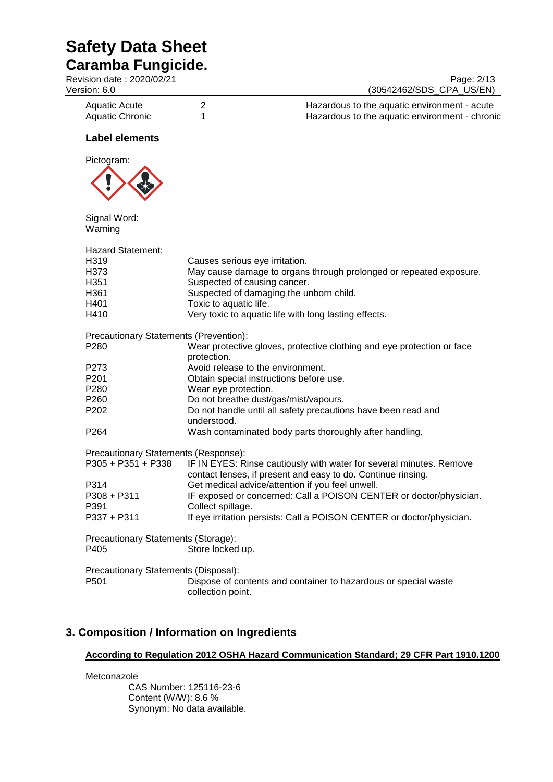| <b>Caramba Fungicide.</b>                                  |                                |                                                                                                |
|------------------------------------------------------------|--------------------------------|------------------------------------------------------------------------------------------------|
| Revision date: 2020/02/21<br>Version: 6.0                  |                                | Page: 2/13<br>(30542462/SDS CPA US/EN)                                                         |
| <b>Aquatic Acute</b><br>Aquatic Chronic                    | $\overline{2}$<br>1            | Hazardous to the aquatic environment - acute<br>Hazardous to the aquatic environment - chronic |
| <b>Label elements</b>                                      |                                |                                                                                                |
| Pictogram:                                                 |                                |                                                                                                |
| Signal Word:<br>Warning                                    |                                |                                                                                                |
| <b>Hazard Statement:</b>                                   |                                |                                                                                                |
| H319                                                       | Causes serious eye irritation. |                                                                                                |
| H373                                                       |                                | May cause damage to organs through prolonged or repeated exposure.                             |
| H351                                                       | Suspected of causing cancer.   |                                                                                                |
| H361                                                       |                                | Suspected of damaging the unborn child.                                                        |
| H401                                                       | Toxic to aquatic life.         |                                                                                                |
| H410                                                       |                                | Very toxic to aquatic life with long lasting effects.                                          |
| Precautionary Statements (Prevention):                     |                                |                                                                                                |
| P280                                                       |                                | Wear protective gloves, protective clothing and eye protection or face                         |
|                                                            | protection.                    |                                                                                                |
| P273                                                       |                                | Avoid release to the environment.                                                              |
| P <sub>201</sub>                                           |                                | Obtain special instructions before use.                                                        |
| P280                                                       | Wear eye protection.           |                                                                                                |
| P260                                                       |                                | Do not breathe dust/gas/mist/vapours.                                                          |
| P202                                                       |                                | Do not handle until all safety precautions have been read and                                  |
| P264                                                       | understood.                    | Wash contaminated body parts thoroughly after handling.                                        |
|                                                            |                                |                                                                                                |
| Precautionary Statements (Response):<br>P305 + P351 + P338 |                                | IF IN EYES: Rinse cautiously with water for several minutes. Remove                            |
|                                                            |                                |                                                                                                |
|                                                            |                                | contact lenses, if present and easy to do. Continue rinsing                                    |
| P314                                                       |                                | Get medical advice/attention if you feel unwell.                                               |
| $P308 + P311$                                              |                                | IF exposed or concerned: Call a POISON CENTER or doctor/physician.                             |
| P391                                                       | Collect spillage.              |                                                                                                |
| P337 + P311                                                |                                | If eye irritation persists: Call a POISON CENTER or doctor/physician.                          |
| Precautionary Statements (Storage):                        |                                |                                                                                                |
| P405                                                       | Store locked up.               |                                                                                                |
| Precautionary Statements (Disposal):                       |                                |                                                                                                |
| P501                                                       | collection point.              | Dispose of contents and container to hazardous or special waste                                |

# **3. Composition / Information on Ingredients**

#### **According to Regulation 2012 OSHA Hazard Communication Standard; 29 CFR Part 1910.1200**

Metconazole CAS Number: 125116-23-6 Content (W/W): 8.6 % Synonym: No data available.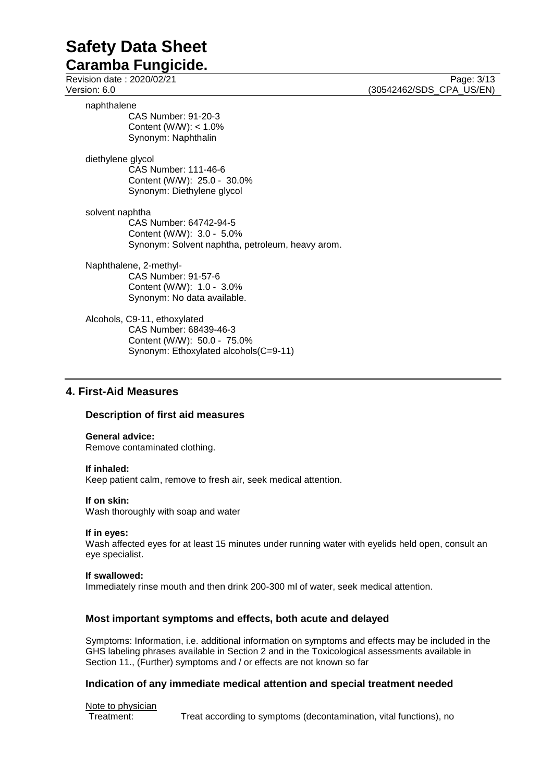# **Caramba Fungicide.**

Revision date : 2020/02/21 Page: 3/13<br>
Version: 6.0 (30542462/SDS CPA US/EN) naphthalene

CAS Number: 91-20-3 Content (W/W): < 1.0% Synonym: Naphthalin

diethylene glycol CAS Number: 111-46-6 Content (W/W): 25.0 - 30.0% Synonym: Diethylene glycol

solvent naphtha CAS Number: 64742-94-5 Content (W/W): 3.0 - 5.0% Synonym: Solvent naphtha, petroleum, heavy arom.

Naphthalene, 2-methyl-CAS Number: 91-57-6 Content (W/W): 1.0 - 3.0% Synonym: No data available.

Alcohols, C9-11, ethoxylated CAS Number: 68439-46-3 Content (W/W): 50.0 - 75.0% Synonym: Ethoxylated alcohols(C=9-11)

## **4. First-Aid Measures**

### **Description of first aid measures**

**General advice:** Remove contaminated clothing.

#### **If inhaled:**

Keep patient calm, remove to fresh air, seek medical attention.

#### **If on skin:**

Wash thoroughly with soap and water

#### **If in eyes:**

Wash affected eyes for at least 15 minutes under running water with eyelids held open, consult an eye specialist.

#### **If swallowed:**

Immediately rinse mouth and then drink 200-300 ml of water, seek medical attention.

### **Most important symptoms and effects, both acute and delayed**

Symptoms: Information, i.e. additional information on symptoms and effects may be included in the GHS labeling phrases available in Section 2 and in the Toxicological assessments available in Section 11., (Further) symptoms and / or effects are not known so far

#### **Indication of any immediate medical attention and special treatment needed**

Note to physician Treatment: Treat according to symptoms (decontamination, vital functions), no

(30542462/SDS\_CPA\_US/EN)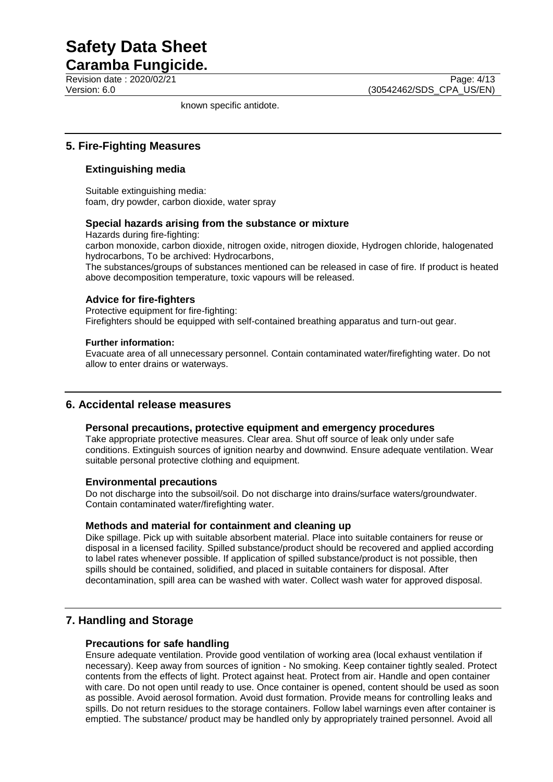**Caramba Fungicide.**

known specific antidote.

# **5. Fire-Fighting Measures**

### **Extinguishing media**

Suitable extinguishing media: foam, dry powder, carbon dioxide, water spray

#### **Special hazards arising from the substance or mixture**

Hazards during fire-fighting:

carbon monoxide, carbon dioxide, nitrogen oxide, nitrogen dioxide, Hydrogen chloride, halogenated hydrocarbons, To be archived: Hydrocarbons,

The substances/groups of substances mentioned can be released in case of fire. If product is heated above decomposition temperature, toxic vapours will be released.

#### **Advice for fire-fighters**

Protective equipment for fire-fighting: Firefighters should be equipped with self-contained breathing apparatus and turn-out gear.

#### **Further information:**

Evacuate area of all unnecessary personnel. Contain contaminated water/firefighting water. Do not allow to enter drains or waterways.

### **6. Accidental release measures**

#### **Personal precautions, protective equipment and emergency procedures**

Take appropriate protective measures. Clear area. Shut off source of leak only under safe conditions. Extinguish sources of ignition nearby and downwind. Ensure adequate ventilation. Wear suitable personal protective clothing and equipment.

#### **Environmental precautions**

Do not discharge into the subsoil/soil. Do not discharge into drains/surface waters/groundwater. Contain contaminated water/firefighting water.

#### **Methods and material for containment and cleaning up**

Dike spillage. Pick up with suitable absorbent material. Place into suitable containers for reuse or disposal in a licensed facility. Spilled substance/product should be recovered and applied according to label rates whenever possible. If application of spilled substance/product is not possible, then spills should be contained, solidified, and placed in suitable containers for disposal. After decontamination, spill area can be washed with water. Collect wash water for approved disposal.

### **7. Handling and Storage**

#### **Precautions for safe handling**

Ensure adequate ventilation. Provide good ventilation of working area (local exhaust ventilation if necessary). Keep away from sources of ignition - No smoking. Keep container tightly sealed. Protect contents from the effects of light. Protect against heat. Protect from air. Handle and open container with care. Do not open until ready to use. Once container is opened, content should be used as soon as possible. Avoid aerosol formation. Avoid dust formation. Provide means for controlling leaks and spills. Do not return residues to the storage containers. Follow label warnings even after container is emptied. The substance/ product may be handled only by appropriately trained personnel. Avoid all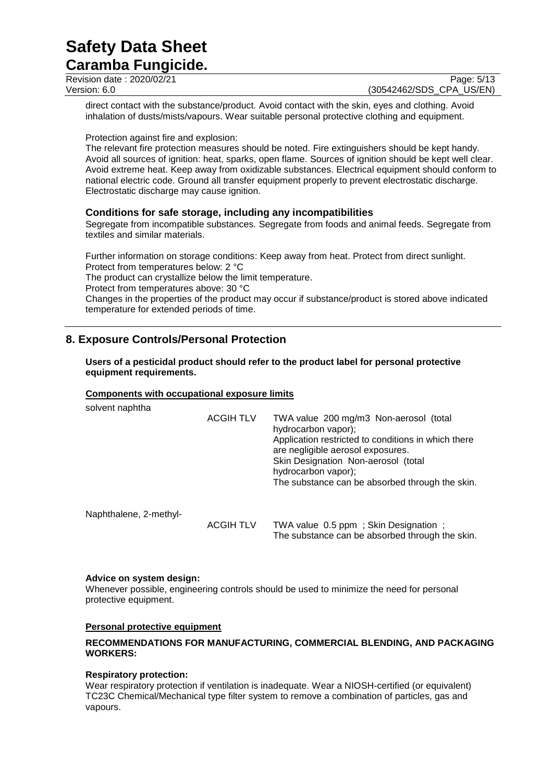# **Caramba Fungicide.**

Revision date : 2020/02/21 Page: 5/13<br>Version: 6.0 (30542462/SDS CPA US/EN) (30542462/SDS CPA US/EN)

direct contact with the substance/product. Avoid contact with the skin, eyes and clothing. Avoid inhalation of dusts/mists/vapours. Wear suitable personal protective clothing and equipment.

Protection against fire and explosion:

The relevant fire protection measures should be noted. Fire extinguishers should be kept handy. Avoid all sources of ignition: heat, sparks, open flame. Sources of ignition should be kept well clear. Avoid extreme heat. Keep away from oxidizable substances. Electrical equipment should conform to national electric code. Ground all transfer equipment properly to prevent electrostatic discharge. Electrostatic discharge may cause ignition.

### **Conditions for safe storage, including any incompatibilities**

Segregate from incompatible substances. Segregate from foods and animal feeds. Segregate from textiles and similar materials.

Further information on storage conditions: Keep away from heat. Protect from direct sunlight. Protect from temperatures below: 2 °C The product can crystallize below the limit temperature. Protect from temperatures above: 30 °C Changes in the properties of the product may occur if substance/product is stored above indicated temperature for extended periods of time.

# **8. Exposure Controls/Personal Protection**

#### **Users of a pesticidal product should refer to the product label for personal protective equipment requirements.**

#### **Components with occupational exposure limits**

| solvent naphtha        |                  |                                                                                                                                                                                                                                                                            |
|------------------------|------------------|----------------------------------------------------------------------------------------------------------------------------------------------------------------------------------------------------------------------------------------------------------------------------|
|                        | <b>ACGIH TLV</b> | TWA value 200 mg/m3 Non-aerosol (total<br>hydrocarbon vapor);<br>Application restricted to conditions in which there<br>are negligible aerosol exposures.<br>Skin Designation Non-aerosol (total<br>hydrocarbon vapor);<br>The substance can be absorbed through the skin. |
| Naphthalene, 2-methyl- |                  |                                                                                                                                                                                                                                                                            |
|                        | <b>ACGIH TLV</b> | TWA value 0.5 ppm; Skin Designation;<br>The substance can be absorbed through the skin.                                                                                                                                                                                    |

#### **Advice on system design:**

Whenever possible, engineering controls should be used to minimize the need for personal protective equipment.

#### **Personal protective equipment**

#### **RECOMMENDATIONS FOR MANUFACTURING, COMMERCIAL BLENDING, AND PACKAGING WORKERS:**

#### **Respiratory protection:**

Wear respiratory protection if ventilation is inadequate. Wear a NIOSH-certified (or equivalent) TC23C Chemical/Mechanical type filter system to remove a combination of particles, gas and vapours.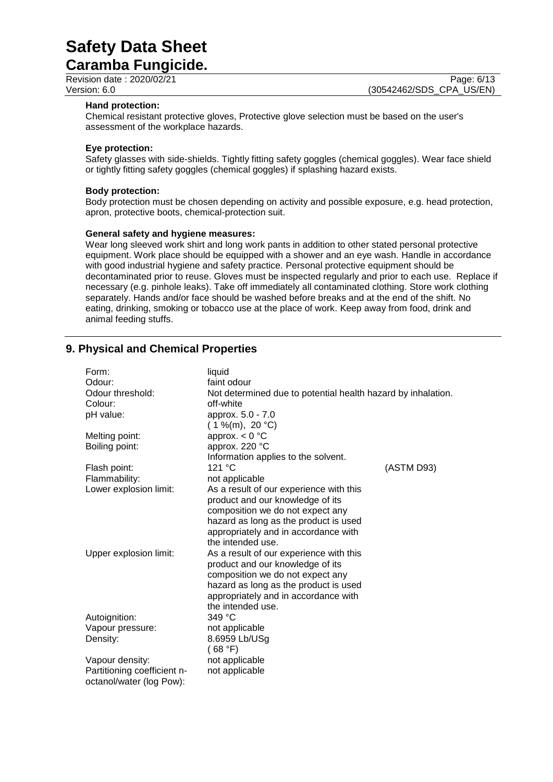**Caramba Fungicide.**

Revision date : 2020/02/21 Page: 6/13<br>
Version: 6.0 (30542462/SDS CPA US/EN) (30542462/SDS\_CPA\_US/EN)

#### **Hand protection:**

Chemical resistant protective gloves, Protective glove selection must be based on the user's assessment of the workplace hazards.

#### **Eye protection:**

Safety glasses with side-shields. Tightly fitting safety goggles (chemical goggles). Wear face shield or tightly fitting safety goggles (chemical goggles) if splashing hazard exists.

#### **Body protection:**

Body protection must be chosen depending on activity and possible exposure, e.g. head protection, apron, protective boots, chemical-protection suit.

#### **General safety and hygiene measures:**

Wear long sleeved work shirt and long work pants in addition to other stated personal protective equipment. Work place should be equipped with a shower and an eye wash. Handle in accordance with good industrial hygiene and safety practice. Personal protective equipment should be decontaminated prior to reuse. Gloves must be inspected regularly and prior to each use. Replace if necessary (e.g. pinhole leaks). Take off immediately all contaminated clothing. Store work clothing separately. Hands and/or face should be washed before breaks and at the end of the shift. No eating, drinking, smoking or tobacco use at the place of work. Keep away from food, drink and animal feeding stuffs.

### **9. Physical and Chemical Properties**

| Form:<br>Odour:<br>Odour threshold:<br>Colour:<br>pH value:<br>Melting point:<br>Boiling point: | liquid<br>faint odour<br>Not determined due to potential health hazard by inhalation.<br>off-white<br>approx. 5.0 - 7.0<br>$(1\%$ (m), 20 °C)<br>approx. $< 0$ °C<br>approx. 220 °C                                                                                                                                                                                                                 |            |
|-------------------------------------------------------------------------------------------------|-----------------------------------------------------------------------------------------------------------------------------------------------------------------------------------------------------------------------------------------------------------------------------------------------------------------------------------------------------------------------------------------------------|------------|
|                                                                                                 | Information applies to the solvent.                                                                                                                                                                                                                                                                                                                                                                 |            |
| Flash point:                                                                                    | 121 °C                                                                                                                                                                                                                                                                                                                                                                                              | (ASTM D93) |
| Flammability:                                                                                   | not applicable                                                                                                                                                                                                                                                                                                                                                                                      |            |
| Lower explosion limit:                                                                          | As a result of our experience with this                                                                                                                                                                                                                                                                                                                                                             |            |
| Upper explosion limit:                                                                          | product and our knowledge of its<br>composition we do not expect any<br>hazard as long as the product is used<br>appropriately and in accordance with<br>the intended use.<br>As a result of our experience with this<br>product and our knowledge of its<br>composition we do not expect any<br>hazard as long as the product is used<br>appropriately and in accordance with<br>the intended use. |            |
| Autoignition:                                                                                   | 349 °C                                                                                                                                                                                                                                                                                                                                                                                              |            |
| Vapour pressure:                                                                                | not applicable                                                                                                                                                                                                                                                                                                                                                                                      |            |
| Density:                                                                                        | 8.6959 Lb/USg<br>(68 °F)                                                                                                                                                                                                                                                                                                                                                                            |            |
| Vapour density:                                                                                 | not applicable                                                                                                                                                                                                                                                                                                                                                                                      |            |
| Partitioning coefficient n-                                                                     | not applicable                                                                                                                                                                                                                                                                                                                                                                                      |            |
| octanol/water (log Pow):                                                                        |                                                                                                                                                                                                                                                                                                                                                                                                     |            |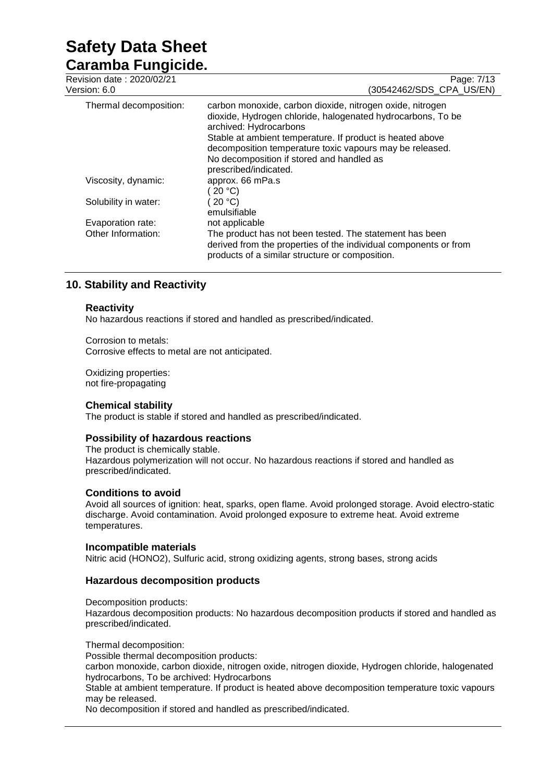# **Caramba Fungicide.**

| Revision date: 2020/02/21<br>Version: 6.0 | Page: 7/13<br>(30542462/SDS_CPA_US/EN)                                                                                                                                                                                                                                                                                   |
|-------------------------------------------|--------------------------------------------------------------------------------------------------------------------------------------------------------------------------------------------------------------------------------------------------------------------------------------------------------------------------|
| Thermal decomposition:                    | carbon monoxide, carbon dioxide, nitrogen oxide, nitrogen<br>dioxide, Hydrogen chloride, halogenated hydrocarbons, To be<br>archived: Hydrocarbons<br>Stable at ambient temperature. If product is heated above<br>decomposition temperature toxic vapours may be released.<br>No decomposition if stored and handled as |
|                                           | prescribed/indicated.                                                                                                                                                                                                                                                                                                    |
| Viscosity, dynamic:                       | approx. 66 mPa.s<br>20 °C                                                                                                                                                                                                                                                                                                |
| Solubility in water:                      | 20 °C<br>emulsifiable                                                                                                                                                                                                                                                                                                    |
| Evaporation rate:                         | not applicable                                                                                                                                                                                                                                                                                                           |
| Other Information:                        | The product has not been tested. The statement has been<br>derived from the properties of the individual components or from<br>products of a similar structure or composition.                                                                                                                                           |

# **10. Stability and Reactivity**

### **Reactivity**

No hazardous reactions if stored and handled as prescribed/indicated.

Corrosion to metals: Corrosive effects to metal are not anticipated.

Oxidizing properties: not fire-propagating

#### **Chemical stability**

The product is stable if stored and handled as prescribed/indicated.

#### **Possibility of hazardous reactions**

The product is chemically stable. Hazardous polymerization will not occur. No hazardous reactions if stored and handled as prescribed/indicated.

#### **Conditions to avoid**

Avoid all sources of ignition: heat, sparks, open flame. Avoid prolonged storage. Avoid electro-static discharge. Avoid contamination. Avoid prolonged exposure to extreme heat. Avoid extreme temperatures.

#### **Incompatible materials**

Nitric acid (HONO2), Sulfuric acid, strong oxidizing agents, strong bases, strong acids

#### **Hazardous decomposition products**

#### Decomposition products:

Hazardous decomposition products: No hazardous decomposition products if stored and handled as prescribed/indicated.

Thermal decomposition:

Possible thermal decomposition products:

carbon monoxide, carbon dioxide, nitrogen oxide, nitrogen dioxide, Hydrogen chloride, halogenated hydrocarbons, To be archived: Hydrocarbons

Stable at ambient temperature. If product is heated above decomposition temperature toxic vapours may be released.

No decomposition if stored and handled as prescribed/indicated.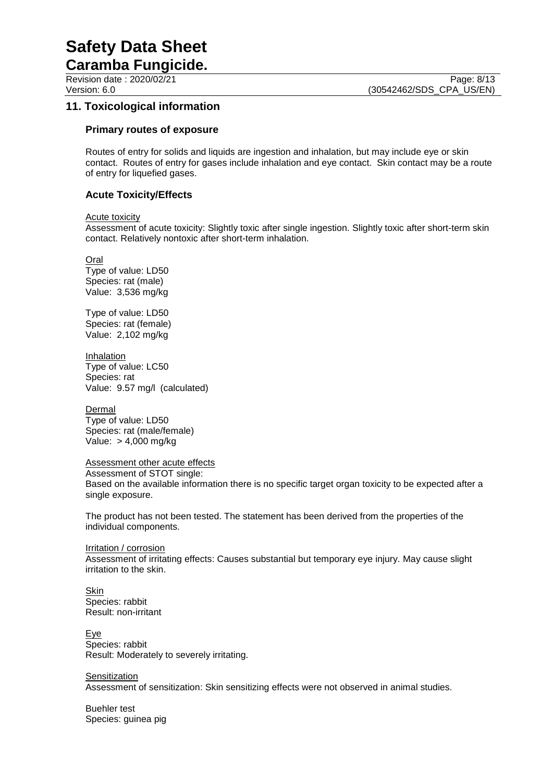**Caramba Fungicide.**

# **11. Toxicological information**

#### **Primary routes of exposure**

Routes of entry for solids and liquids are ingestion and inhalation, but may include eye or skin contact. Routes of entry for gases include inhalation and eye contact. Skin contact may be a route of entry for liquefied gases.

### **Acute Toxicity/Effects**

#### Acute toxicity

Assessment of acute toxicity: Slightly toxic after single ingestion. Slightly toxic after short-term skin contact. Relatively nontoxic after short-term inhalation.

Oral

Type of value: LD50 Species: rat (male) Value: 3,536 mg/kg

Type of value: LD50 Species: rat (female) Value: 2,102 mg/kg

**Inhalation** Type of value: LC50 Species: rat Value: 9.57 mg/l (calculated)

Dermal Type of value: LD50 Species: rat (male/female) Value: > 4,000 mg/kg

#### Assessment other acute effects

Assessment of STOT single: Based on the available information there is no specific target organ toxicity to be expected after a single exposure.

The product has not been tested. The statement has been derived from the properties of the individual components.

Irritation / corrosion Assessment of irritating effects: Causes substantial but temporary eye injury. May cause slight irritation to the skin.

Skin Species: rabbit Result: non-irritant

**Eye** Species: rabbit Result: Moderately to severely irritating.

**Sensitization** Assessment of sensitization: Skin sensitizing effects were not observed in animal studies.

Buehler test Species: guinea pig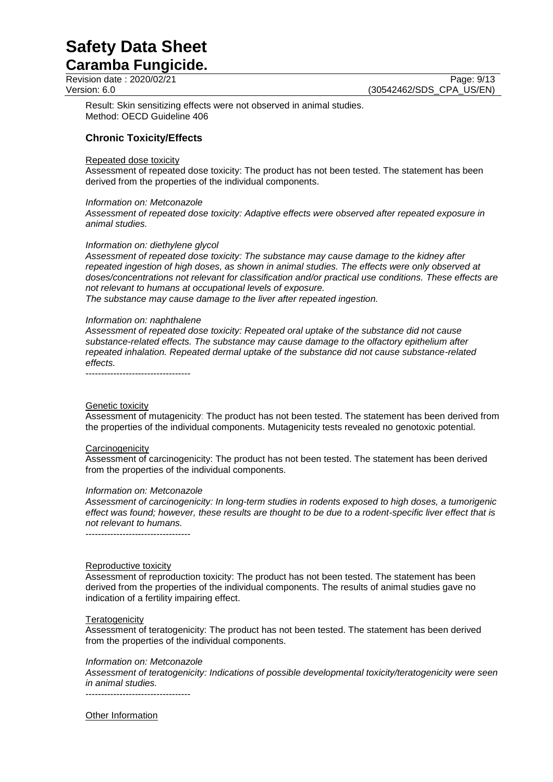# **Caramba Fungicide.**

Revision date : 2020/02/21 Page: 9/13<br>
Version: 6.0 (30542462/SDS CPA US/EN) (30542462/SDS\_CPA\_US/EN)

Result: Skin sensitizing effects were not observed in animal studies. Method: OECD Guideline 406

## **Chronic Toxicity/Effects**

#### Repeated dose toxicity

Assessment of repeated dose toxicity: The product has not been tested. The statement has been derived from the properties of the individual components.

#### *Information on: Metconazole*

*Assessment of repeated dose toxicity: Adaptive effects were observed after repeated exposure in animal studies.*

#### *Information on: diethylene glycol*

*Assessment of repeated dose toxicity: The substance may cause damage to the kidney after repeated ingestion of high doses, as shown in animal studies. The effects were only observed at doses/concentrations not relevant for classification and/or practical use conditions. These effects are not relevant to humans at occupational levels of exposure.*

*The substance may cause damage to the liver after repeated ingestion.*

#### *Information on: naphthalene*

*Assessment of repeated dose toxicity: Repeated oral uptake of the substance did not cause substance-related effects. The substance may cause damage to the olfactory epithelium after repeated inhalation. Repeated dermal uptake of the substance did not cause substance-related effects.*

----------------------------------

#### Genetic toxicity

Assessment of mutagenicity: The product has not been tested. The statement has been derived from the properties of the individual components. Mutagenicity tests revealed no genotoxic potential.

#### **Carcinogenicity**

Assessment of carcinogenicity: The product has not been tested. The statement has been derived from the properties of the individual components.

#### *Information on: Metconazole*

*Assessment of carcinogenicity: In long-term studies in rodents exposed to high doses, a tumorigenic effect was found; however, these results are thought to be due to a rodent-specific liver effect that is not relevant to humans.*

----------------------------------

#### Reproductive toxicity

Assessment of reproduction toxicity: The product has not been tested. The statement has been derived from the properties of the individual components. The results of animal studies gave no indication of a fertility impairing effect.

#### **Teratogenicity**

Assessment of teratogenicity: The product has not been tested. The statement has been derived from the properties of the individual components.

#### *Information on: Metconazole*

*Assessment of teratogenicity: Indications of possible developmental toxicity/teratogenicity were seen in animal studies.*

----------------------------------

Other Information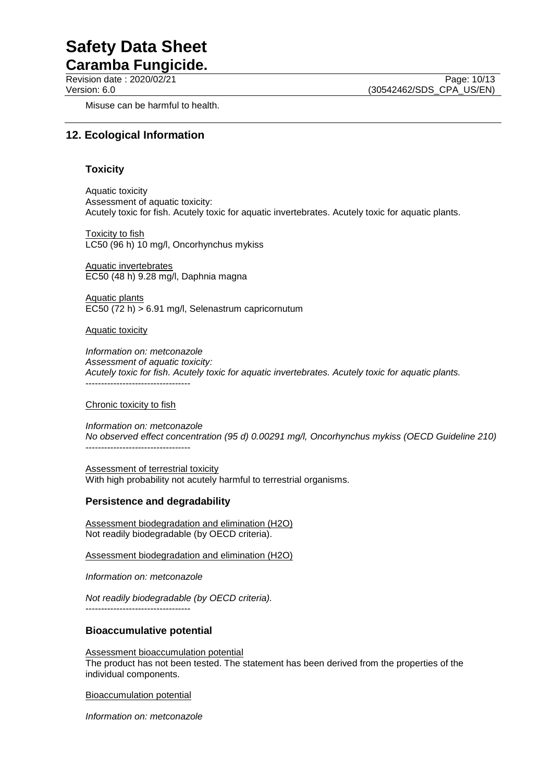**Caramba Fungicide.**

Revision date : 2020/02/21 Page: 10/13<br>Version: 6.0 (30542462/SDS CPA US/EN) (30542462/SDS\_CPA\_US/EN)

Misuse can be harmful to health.

## **12. Ecological Information**

### **Toxicity**

Aquatic toxicity Assessment of aquatic toxicity: Acutely toxic for fish. Acutely toxic for aquatic invertebrates. Acutely toxic for aquatic plants.

Toxicity to fish LC50 (96 h) 10 mg/l, Oncorhynchus mykiss

Aquatic invertebrates EC50 (48 h) 9.28 mg/l, Daphnia magna

Aquatic plants EC50 (72 h) > 6.91 mg/l, Selenastrum capricornutum

Aquatic toxicity

*Information on: metconazole Assessment of aquatic toxicity: Acutely toxic for fish. Acutely toxic for aquatic invertebrates. Acutely toxic for aquatic plants.* ----------------------------------

#### Chronic toxicity to fish

*Information on: metconazole No observed effect concentration (95 d) 0.00291 mg/l, Oncorhynchus mykiss (OECD Guideline 210)* ----------------------------------

Assessment of terrestrial toxicity With high probability not acutely harmful to terrestrial organisms.

#### **Persistence and degradability**

Assessment biodegradation and elimination (H2O) Not readily biodegradable (by OECD criteria).

Assessment biodegradation and elimination (H2O)

*Information on: metconazole*

*Not readily biodegradable (by OECD criteria).* ----------------------------------

## **Bioaccumulative potential**

Assessment bioaccumulation potential

The product has not been tested. The statement has been derived from the properties of the individual components.

Bioaccumulation potential

*Information on: metconazole*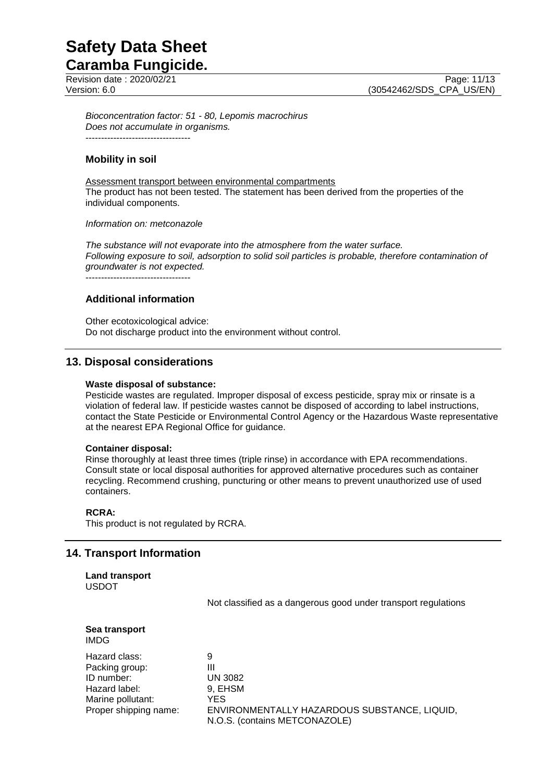**Caramba Fungicide.** Revision date : 2020/02/21 Page: 11/13<br>Version: 6.0 (30542462/SDS CPA US/EN)

*Bioconcentration factor: 51 - 80, Lepomis macrochirus Does not accumulate in organisms.* ----------------------------------

### **Mobility in soil**

Assessment transport between environmental compartments The product has not been tested. The statement has been derived from the properties of the individual components.

#### *Information on: metconazole*

*The substance will not evaporate into the atmosphere from the water surface. Following exposure to soil, adsorption to solid soil particles is probable, therefore contamination of groundwater is not expected.*

----------------------------------

## **Additional information**

Other ecotoxicological advice: Do not discharge product into the environment without control.

### **13. Disposal considerations**

#### **Waste disposal of substance:**

Pesticide wastes are regulated. Improper disposal of excess pesticide, spray mix or rinsate is a violation of federal law. If pesticide wastes cannot be disposed of according to label instructions, contact the State Pesticide or Environmental Control Agency or the Hazardous Waste representative at the nearest EPA Regional Office for guidance.

#### **Container disposal:**

Rinse thoroughly at least three times (triple rinse) in accordance with EPA recommendations. Consult state or local disposal authorities for approved alternative procedures such as container recycling. Recommend crushing, puncturing or other means to prevent unauthorized use of used containers.

#### **RCRA:**

This product is not regulated by RCRA.

#### **14. Transport Information**

**Land transport** USDOT

Not classified as a dangerous good under transport regulations

#### **Sea transport** IMDG

Hazard class: 9 Packing group: III ID number: UN 3082 Hazard label: 9, EHSM Marine pollutant: YES

Proper shipping name: ENVIRONMENTALLY HAZARDOUS SUBSTANCE, LIQUID, N.O.S. (contains METCONAZOLE)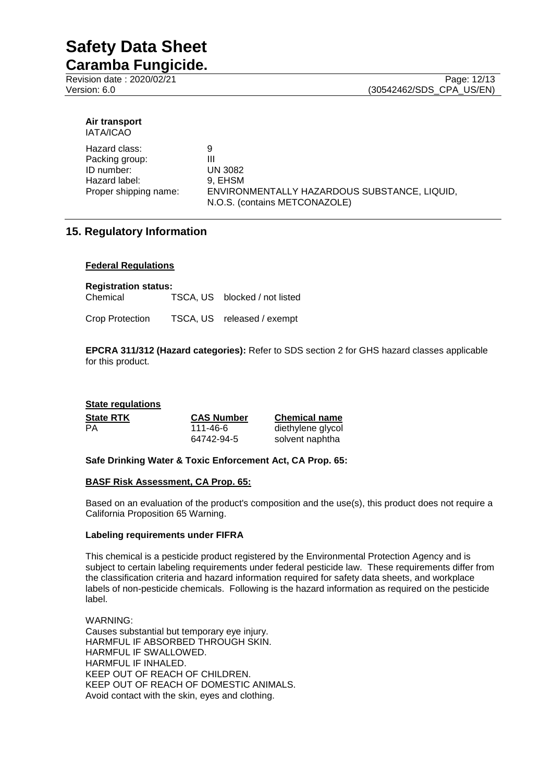**Caramba Fungicide.**

| Air transport |  |
|---------------|--|
| IATA/ICAO     |  |

| Hazard class:         | 9                                                                             |
|-----------------------|-------------------------------------------------------------------------------|
| Packing group:        | Ш                                                                             |
| ID number:            | <b>UN 3082</b>                                                                |
| Hazard label:         | 9. EHSM                                                                       |
| Proper shipping name: | ENVIRONMENTALLY HAZARDOUS SUBSTANCE, LIQUID,<br>N.O.S. (contains METCONAZOLE) |
|                       |                                                                               |

# **15. Regulatory Information**

#### **Federal Regulations**

**Registration status:**

Chemical TSCA, US blocked / not listed

Crop Protection TSCA, US released / exempt

**EPCRA 311/312 (Hazard categories):** Refer to SDS section 2 for GHS hazard classes applicable for this product.

| <b>State regulations</b> |                   |                      |
|--------------------------|-------------------|----------------------|
| <b>State RTK</b>         | <b>CAS Number</b> | <b>Chemical name</b> |
| PA                       | 111-46-6          | diethylene glycol    |
|                          | 64742-94-5        | solvent naphtha      |

#### **Safe Drinking Water & Toxic Enforcement Act, CA Prop. 65:**

#### **BASF Risk Assessment, CA Prop. 65:**

Based on an evaluation of the product's composition and the use(s), this product does not require a California Proposition 65 Warning.

#### **Labeling requirements under FIFRA**

This chemical is a pesticide product registered by the Environmental Protection Agency and is subject to certain labeling requirements under federal pesticide law. These requirements differ from the classification criteria and hazard information required for safety data sheets, and workplace labels of non-pesticide chemicals. Following is the hazard information as required on the pesticide label.

WARNING: Causes substantial but temporary eye injury. HARMFUL IF ABSORBED THROUGH SKIN. HARMFUL IF SWALLOWED. HARMFUL IF INHALED. KEEP OUT OF REACH OF CHILDREN. KEEP OUT OF REACH OF DOMESTIC ANIMALS. Avoid contact with the skin, eyes and clothing.